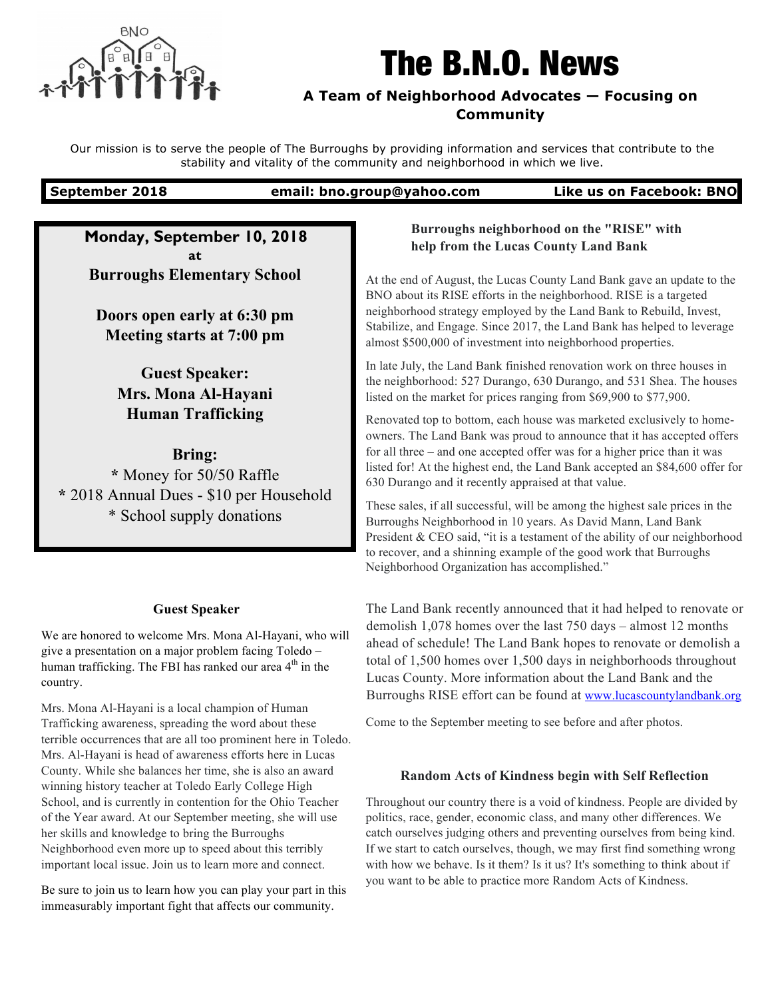

# The B.N.O. News

# **A Team of Neighborhood Advocates — Focusing on Community**

Our mission is to serve the people of The Burroughs by providing information and services that contribute to the stability and vitality of the community and neighborhood in which we live.

## **September 2018 email: bno.group@yahoo.com Like us on Facebook: BNO**

**Monday, September 10, 2018 at Burroughs Elementary School**

**Doors open early at 6:30 pm Meeting starts at 7:00 pm**

> **Guest Speaker: Mrs. Mona Al-Hayani Human Trafficking**

**Bring: \*** Money for 50/50 Raffle **\*** 2018 Annual Dues - \$10 per Household \* School supply donations

#### **Guest Speaker**

We are honored to welcome Mrs. Mona Al-Hayani, who will give a presentation on a major problem facing Toledo – human trafficking. The FBI has ranked our area  $4<sup>th</sup>$  in the country.

Mrs. Mona Al-Hayani is a local champion of Human Trafficking awareness, spreading the word about these terrible occurrences that are all too prominent here in Toledo. Mrs. Al-Hayani is head of awareness efforts here in Lucas County. While she balances her time, she is also an award winning history teacher at Toledo Early College High School, and is currently in contention for the Ohio Teacher of the Year award. At our September meeting, she will use her skills and knowledge to bring the Burroughs Neighborhood even more up to speed about this terribly important local issue. Join us to learn more and connect.

Be sure to join us to learn how you can play your part in this immeasurably important fight that affects our community.

## **Burroughs neighborhood on the "RISE" with help from the Lucas County Land Bank**

At the end of August, the Lucas County Land Bank gave an update to the BNO about its RISE efforts in the neighborhood. RISE is a targeted neighborhood strategy employed by the Land Bank to Rebuild, Invest, Stabilize, and Engage. Since 2017, the Land Bank has helped to leverage almost \$500,000 of investment into neighborhood properties.

In late July, the Land Bank finished renovation work on three houses in the neighborhood: 527 Durango, 630 Durango, and 531 Shea. The houses listed on the market for prices ranging from \$69,900 to \$77,900.

Renovated top to bottom, each house was marketed exclusively to homeowners. The Land Bank was proud to announce that it has accepted offers for all three – and one accepted offer was for a higher price than it was listed for! At the highest end, the Land Bank accepted an \$84,600 offer for 630 Durango and it recently appraised at that value.

These sales, if all successful, will be among the highest sale prices in the Burroughs Neighborhood in 10 years. As David Mann, Land Bank President & CEO said, "it is a testament of the ability of our neighborhood to recover, and a shinning example of the good work that Burroughs Neighborhood Organization has accomplished."

The Land Bank recently announced that it had helped to renovate or demolish 1,078 homes over the last 750 days – almost 12 months ahead of schedule! The Land Bank hopes to renovate or demolish a total of 1,500 homes over 1,500 days in neighborhoods throughout Lucas County. More information about the Land Bank and the Burroughs RISE effort can be found at www.lucascountylandbank.org

Come to the September meeting to see before and after photos.

#### **Random Acts of Kindness begin with Self Reflection**

Throughout our country there is a void of kindness. People are divided by politics, race, gender, economic class, and many other differences. We catch ourselves judging others and preventing ourselves from being kind. If we start to catch ourselves, though, we may first find something wrong with how we behave. Is it them? Is it us? It's something to think about if you want to be able to practice more Random Acts of Kindness.